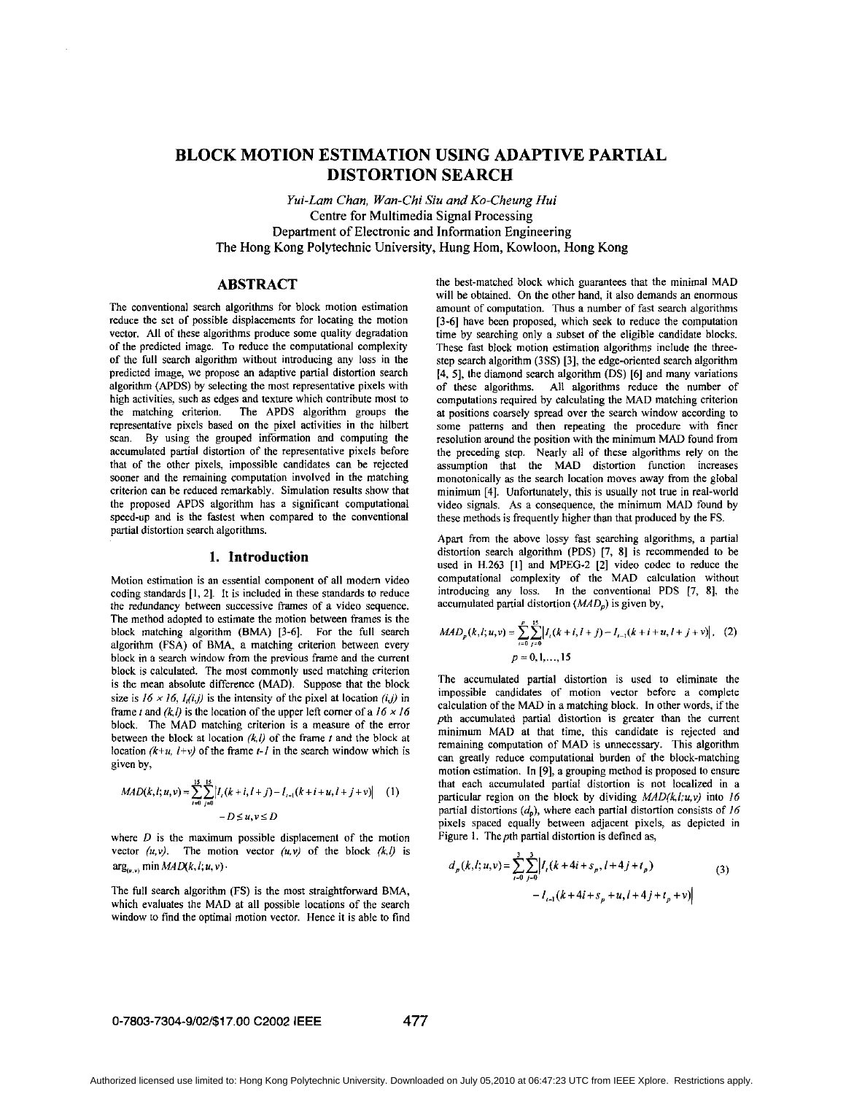# <span id="page-0-0"></span>**BLOCK MOTION ESTIMATION USING ADAPTIVE PARTIAL DISTORTION SEARCH**

*Yui-Lam Chan, Wan-Chi Siu and Ko-Cheung Hui*  Centre **for** Multimedia **Signal** Processing Department of Electronic and Information Engineering The Hong Kong Polytechnic University, Hung Hom, Kowloon, Hong Kong

## **ABSTRACT**

The conventional search algorithms for block motion estimation reduce the set of possible displacements for locating the motion vector. All of these algorithms produce some quality degradation of the predicted image. To reduce the computational complexity of the full search algorithm without introducing any **loss** in the predicted image, we propose an adaptive partial distortion search algorithm (APDS) by selecting the most representative pixels with high activities, such **as** edges and texture which contribute most to the matching criterion. The APDS algorithm groups the representative pixels based on the pixel activities in the hilbert scan. By using the grouped information and computing the accumulated partial distortion of the representative pixels before that of the other pixels, impossible candidates can be rejected sooner and the remaining computation involved in the matching criterion can be reduced remarkably. Simulation results show that the proposed **APDS** algorithm has a significant computational speed-up and is the fastest when compared to the conventional partial distortion search algorithms.

#### **1. Introduction**

Motion estimation is an essential component *of* all modem video coding standards [I, **21.** It is included in these standards to reduce the redundancy between successive frames of a video sequence. The method adopted to estimate the motion between frames is the block matching algorithm (BMA) [3-6]. For the full search algorithm **(FSA)** of **BMA,** a matching criterion between every block in a search window from the previous frame and the current block is calculated. The most commonly used matching criterion is the mean absolute difference (MAD). Suppose that the block size is  $16 \times 16$ ,  $I_i(i,j)$  is the intensity of the pixel at location  $(i,j)$  in frame *t* and  $(k, l)$  is the location of the upper left corner of a  $16 \times 16$ block. The MAD matching criterion is a measure of the error between the block at location *(kl)* of the frame *I* and the block at location  $(k+u, l+v)$  of the frame  $t-l$  in the search window which is given by,

$$
MAD(k, l; u, v) = \sum_{i=0}^{15} \sum_{j=0}^{15} \left| I_{i}(k+i, l+j) - I_{i-1}(k+i+u, l+j+v) \right| \tag{1}
$$
  
-D \le u, v \le D

where *D* is the maximum possible displacement of the motion vector  $(u, v)$ . The motion vector  $(u, v)$  of the block  $(k, l)$  is  $arg_{(u,v)}$  min  $MAD(k, l; u, v)$ .

The full search algorithm (FS) is the most straightforward BMA, which evaluates the MAD at all possible locations of the search window to find the optimal motion vector. Hence it is able to find the best-matched block which guarantees that the minimal MAD will be obtained. On the other hand, it also demands an enormous amount of computation. Thus a number of fast search algorithms [3-6] have been proposed, which seek to reduce the computation time by searching only a subset of the eligible candidate blocks. These fast block motion estimation algorithms include the threestep search algorithm **(3SS) [3],** the edge-oriented search algorithm **[4,** 51, the diamond search algorithm (DS) **[6]** and many variations of these algorithms. All algorithms reduce the number of computations required by calculating the MAD matching criterion at positions coarsely spread over the search window according to some patterns and then repeating the procedure with finer resolution around the position with the minimum MAD found from the preceding step. Nearly **all** of these algorithms rely on the assumption that the MAD distortion function increases monotonically as the search location moves away from the global minimum **[4].** Unfortunately, this is usually not true in real-world video signals. **As** a consequence, the minimum MAD found hy these methods is frequently higher than that produced by the FS.

Apart from the above lossy fast searching algorithms, a partial distortion search algorithm (PDS) [7, **81** is recommended to be used in H.263 [I] and **MPEG-2** [Z] video codec to reduce the computational complexity of the MAD calculation without introducing any **loss.** In the conventional PDS **17, 81,** the accumulated partial distortion *(MAD,)* is given by,

$$
MAD_p(k,l;u,v) = \sum_{i=0}^p \sum_{j=0}^{15} \left| I_i(k+i, l+j) - I_{i-1}(k+i+u, l+j+v) \right|, (2)
$$
  
 
$$
p = 0, 1, ..., 15
$$

The accumulated partial distortion is used to eliminate the impossible candidates of motion vector before a complete calculation of the MAD in a matching block. In other words, if the pth accumulated partial distortion is greater than the current minimum MAD at that time, this candidate is rejected and remaining computation of MAD is unnecessary. This algorithm can greatly reduce computational burden of the block-matching motion estimation. In [9], a grouping method is proposed to ensure that each accumulated partial distortion is not localized in a particular region on the block by dividing  $MAD(k,l;u,v)$  into 16 partial distortions  $(d_0)$ , where each partial distortion consists of *16* pixels spaced equally between adjacent pixels, **as** depicted in Figure 1. The *pth* partial distortion is defined as,

$$
d_p(k, l; u, v) = \sum_{i=0}^{3} \sum_{j=0}^{3} \left| I_i(k+4i+s_p, l+4j+t_p) - I_{i-1}(k+4i+s_p+u, l+4j+t_p+v) \right|
$$
 (3)

#### **0-7803-7304-9/02/\$17.00 C2002 IEEE 477**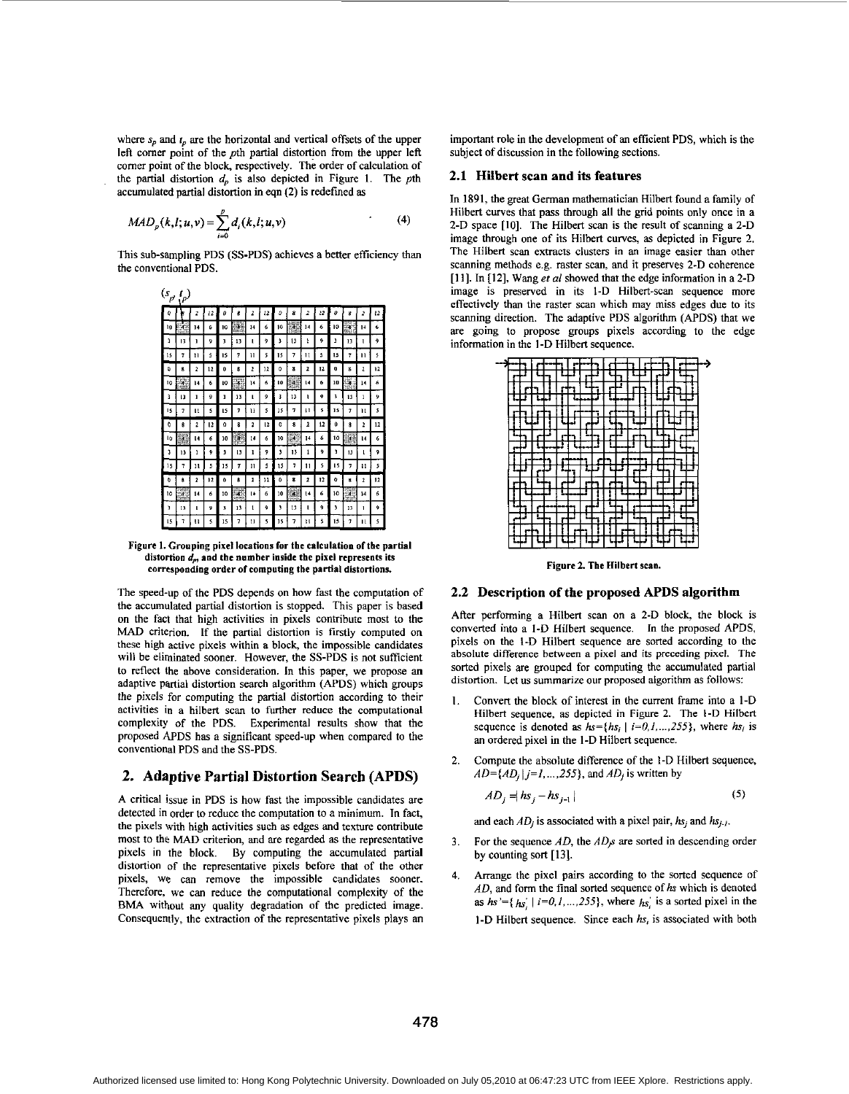where  $s_n$  and  $t_n$  are the horizontal and vertical offsets of the upper left comer point of the *pth* partial distortion from the upper left comer point of the block, respectively. The order of calculation of the partial distortion  $d_p$  is also depicted in [Figure](#page-0-0) 1. The pth accumulated partial distortion in eqn (2) is redefined **as** 

$$
MAD_p(k, l; u, v) = \sum_{i=0}^{p} d_i(k, l; u, v)
$$
 (4)

This sub-sampling PDS (SS-PDS) achieves a better efficiency than the conventional PDS.



[Figure](#page-0-0) **1.** Grouping pixel locations **for** the calculation ofthe partial distortion  $d_p$ , and the number inside the pixel represents its corrcspoadiog order **of** computing the partial distortims.

The speed-up of the PDS depends **on** how fast the computation of the accumulated partial distortion is stopped. This paper is based **on** the fact that high activities in pixels contribute most to the **MAD** criterion. If the partial distortion is firstly computed on these high active pixels within a block, the impossible candidates will be eliminated sooner. However, the SS-PDS is not sufficient to reflect the above consideration. In this paper, we propose **an**  adaptive partial distortion search algorithm (APDS) which groups the pixels for computing the partial distortion according to their activities in a hilbert scan to further reduce the computational complexity of the PDS. Experimental results show that the proposed 4PDS has a significant speed-up when compared to the conventional PDS and the SS-PDS.

#### **2. Adaptive Partial Distortion Search (APDS)**

A critical issue in PDS **is** how fast the impossible candidates are detected in order to reduce the computation to a minimum. In fact, the pixels with high activities such **as** edges and texture contribute most to the MAD criterion, and are regarded **as** the representative pixels in the block. By computing the accumulated partial distortion of the representative pixels before that of the other pixels, we can remove the impossible candidates sooner. Therefore, we can reduce the computational complexity of the BMA without any quality degradation of the predicted image. Consequently, the extraction of the representative pixels plays **an**  important role in the development of an efficient PDS, which is the subject of discussion in the following sections.

#### **2.1 Hilbert scan and its features**

In **1891,** the great German mathematician Hilbert found a family of Hilbert curves that pass through all the grid points only once in a 2-D space **[IO].** The Hilbert scan is the result of scanning a 2-D image through one of its Hilbert curves, **as** depicted in Figure 2. The Hilbert scan extracts clusters in an image easier than other scanning methods e.g. raster scan, and it preserves 2-D coherence **[I I].** In [12], Wang et *al* showed that the edge information in a 2-D image is preserved in its I-D Hilbert-scan sequence more effectively than the raster scan which may miss edges due to its scanning direction. The adaptive PDS algorithm (APDS) that we are going to propose groups pixels according to the edge information in the I-D Hilbert sequence.



Figure **2.** The Hilbert scan.

#### **2.2 Description of the proposed APDS algorithm**

After performing a Hilbert scan on a 2-D block, the block is converted into a I-D Hilbert sequence. In the proposed APDS, pixels **on** the I-D Hilbert sequence are sorted according to the absolute difference **between** a pixel and its preceding pixel. The sorted pixels are grouped for computing the accumulated partial distortion. Let us summarize our proposed algorithm **as** follows:

- 1. Convert the block of interest in the current frame into a I-D Hilbert sequence, as depicted in Figure 2. The I-D Hilbert sequence is denoted as  $hs=[hs_i]$   $i=0,1,...,255$ , where  $hs_i$  is an ordered pixel in the I-D Hilbert sequence.
- $\mathcal{D}$ Compute the absolute difference of the I-D Hilbert sequence,  $AD = {AD<sub>i</sub> | j=1,..., 255}$ , and  $AD<sub>j</sub>$  is written by

$$
AD_j = |hs_j - hs_{j-1}|
$$
\n<sup>(5)</sup>

and each  $AD_i$  is associated with a pixel pair,  $hs_i$  and  $hs_i$ .

- For the sequence *AD*, the *AD<sub>i</sub>s* are sorted in descending order 3. by counting sort **[13].**
- Arrange the pixel pairs according to the sorted sequence of *AD*, and form the final sorted sequence of *hs* which is denoted as  $h s' = {h s' \mid i=0, 1, ..., 255}$ , where  $h s'$  is a sorted pixel in the I-D Hilbert sequence. Since each *hs,* is associated with both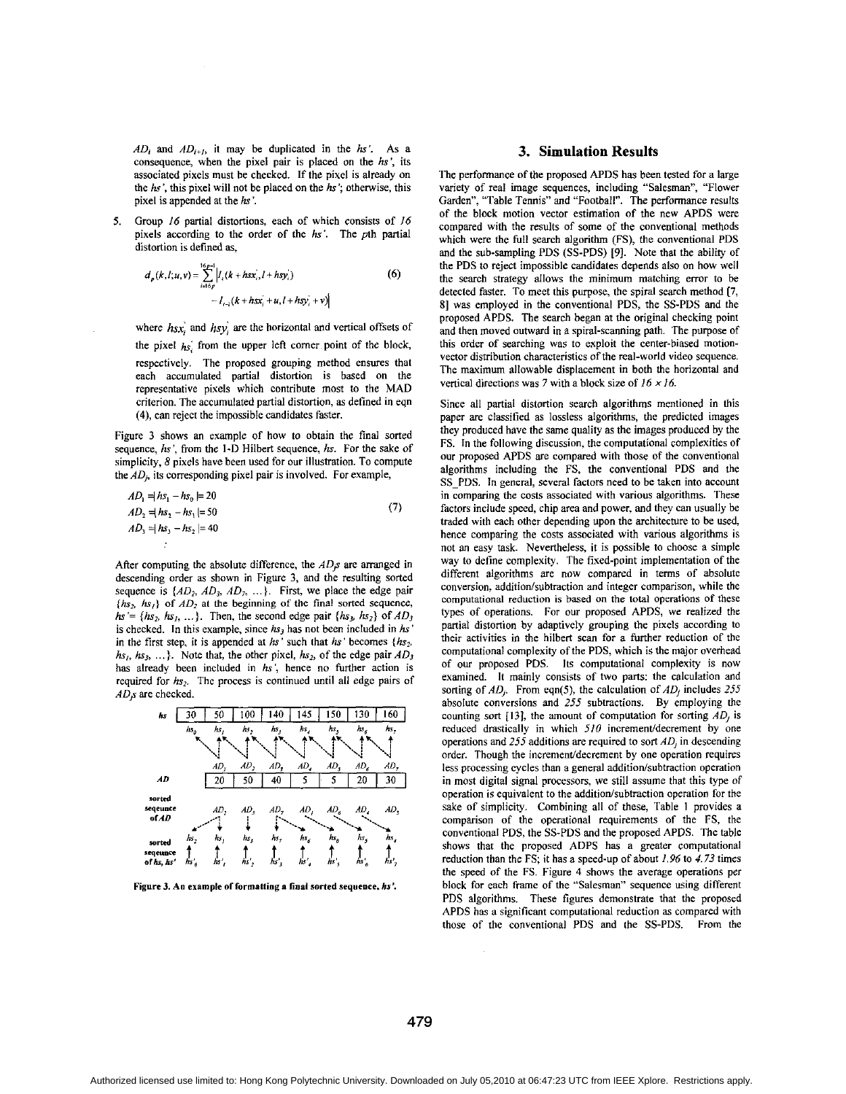$AD_i$  and  $AD_{i+1}$ , it may be duplicated in the *hs'*. As a consequence, when the pixel pair is placed on the *hs',* its associated pixels must be checked. If the pixel is already on the *hs',* this pixel will not be placed on the *hs';* otherwise, this pixel is appended at the *hs* '.

Group *16* partial distortions, each of which consists of *16*  pixels according to the order of the *hs'.* The pth partial distortion is defined **as,**  *5.* 

$$
d_p(k, l; u, v) = \sum_{i=15p}^{15p-1} \left| l_i(k + hsx_i, l + hsy_i) \right|
$$
  
- 
$$
l_{i-1}(k + hsx_i + u, l + hsy_i + v)
$$
 (6)

where *hsx*, and *hsy*, are the horizontal and vertical offsets of the pixel *hs;* from the upper left comer point of the block, respectively. The proposed grouping method ensures that each accumulated partial distortion is based on the representative pixels which contribute most to the **MAD**  criterion. The accumulated partial distortion, **as** defined in eqn **(4),** can reject the impossible candidates faster.

Figure 3 shows an example of how to obtain the final sorted sequence, hs', from the **I-D** Hilbert sequence, *hs.* For the sake of simplicity, 8 pixels have been used for our illustration. To compute the *AD,,* its corresponding pixel pair is involved. For example,

$$
AD_1 = |hs_1 - hs_0| = 20
$$
  
\n
$$
AD_2 = |hs_2 - hs_1| = 50
$$
  
\n
$$
AD_3 = |hs_3 - hs_2| = 40
$$
\n(7)

After computing the absolute difference, the  $AD<sub>j</sub>s$  are arranged in descending order **as** shown in Figure 3, and the resulting sorted sequence is  $\{AD_2, AD_3, AD_7, ...\}$ . First, we place the edge pair  $\{h s<sub>2</sub>, h s<sub>1</sub>\}$  of  $AD<sub>2</sub>$  at the beginning of the final sorted sequence,  $h s' = \{h s_2, h s_1, \ldots\}$ . Then, the second edge pair  $\{h s_3, h s_2\}$  of  $A D_3$ is checked. In this example, since  $hs<sub>3</sub>$  has not been included in  $hs$ in the first step, it is appended at *hs'* such that *hs'* becomes *{hs2. hs,, hs,,* ...}. Note that, the other pixel, *hs,,* of the edge pair *AD,*  has already been included in *hs',* hence no further action is required for  $h_{s_2}$ . The process is continued until all edge pairs of *AD9* are checked.



**Figure 3. An example of formatling a final sarrrd sequence,** *hs'.* 

#### **3. Simulation Results**

The performance of the proposed APDS has been tested for a large variety of real image sequences, including "Salesman", "Flower Garden", "Table Tennis" and "Football". The performance results of the block motion vector estimation of the new **APDS** were compared with the results of some of the conventional methods which were the full search algorithm (FS), the conventional **PDS**  and the sub-sampling **PDS (SS-PDS)** [9]. Note that the ability of the **PDS** to reject impossible candidates depends also on how well the search strategy allows the minimum matching error to be detected faster. To meet this purpose, the spiral search method **(7, 81** was employed in the conventional **PDS,** the **SS-PDS** and the proposed **APDS.** The search began at the original checking point and then moved outward in a spiral-scanning path. The purpose of this order of searching was to exploit the center-biased motionvector distribution characteristics of the real-world video sequence. The maximum allowable displacement in both the horizontal and vertical directions was **7** with a block size of 16 *x 16.* 

Since all partial distortion search algorithms mentioned in this paper are classified as lossless algorithms, the predicted images they produced have the same quality **as** the images produced hy the FS. In the following discussion, the computational complexities of our proposed APDS are compared with those of the conventional algorithms including the FS, the conventional **PDS** and the **SS-PDS.** In general, several factors need to be taken into account in comparing the costs associated with various algorithms. These factors include speed, chip area and power, and they can usually be traded with each other depending upon the architecture to be used, hence comparing the costs associated with various algorithms is not an easy task. Nevertheless, it is possible to choose a simple way to define complexity. The fixed-point implementation of the different algorithms are now compared in terms of absolute conversion, addition/subtraction and integer comparison, while the computational reduction **is** based **on** the total operations of these types of operations. For our proposed **APDS,** we realized the partial distortion by adaptively grouping the pixels according to their activities in the hilbert scan for a further reduction of the computational complexity of the **PDS,** which is the major overhead of our proposed **PDS.** Its computational complexity is now examined. It mainly consists of two parts: the calculation and sorting of  $AD_i$ . From eqn(5), the calculation of  $AD_i$  includes  $255$ absolute conversions and *255* subtractions. By employing the counting sort **(131,** the amount of computation for sorting *AD,* is reduced drastically in which 510 increment/decrement by one operations and *255* additions are required to sort *AD,* in descending order. Though the increment/decrement by one operation requires less processing cycles than a general addition/subtraction operation in most digital signal processors, we still assume that this type of operation is equivalent to the addition/subtraction operation for the sake of simplicity. Combining all of these, Table I provides a comparison of the operational requirements of the FS, the conventional **PDS,** the **SS-PDS** and the proposed **APDS.** The table shows that the proposed **ADPS** has a greater computational reduction than the FS; it has a speed-up of about 1.96 to *4.73* times the speed of the FS. Figure **4** shows the average operations per block for each frame of the "Salesman" sequence using different **PDS** algorithms. These figures demonstrate that the proposed **APDS** has **a** significant computational reduction **as** compared with those of the conventional **PDS** and the **SS-PDS.** From the